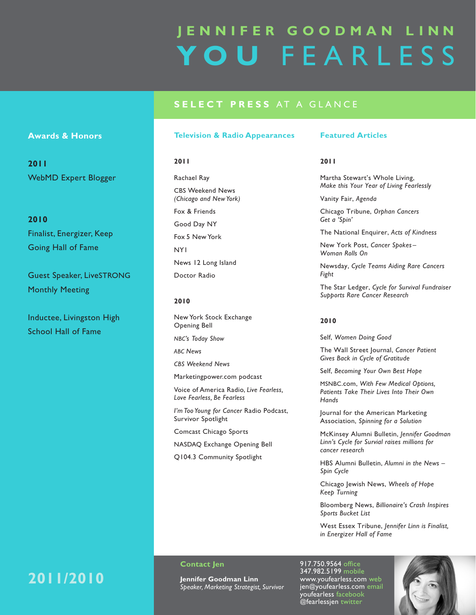# **J e n n i f e r G o o d m a n L inn Y o u** F e a r l e s s

## **S e L e C T P r e S S** aT a G l a N C e

#### **Awards & Honors**

**2011** WebMD Expert Blogger

**2010** Finalist, Energizer, Keep Going Hall of Fame

Guest Speaker, LiveSTRONG Monthly Meeting

Inductee, Livingston High School Hall of Fame

#### **Television & Radio Appearances**

#### **2011**

Rachael Ray CBS Weekend News *(Chicago and NewYork)* Fox & Friends Good Day NY Fox 5 New York NY1 News 12 Long Island Doctor Radio

#### **2010**

New York Stock Exchange Opening Bell

*NBC's Today Show*

*ABC News*

*CBS Weekend News*

Marketingpower.com podcast

Voice of America Radio, *Live Fearless, Love Fearless, Be Fearless*

*I'm Too Young for Cancer* Radio Podcast, Survivor Spotlight

Comcast Chicago Sports

NASDAQ Exchange Opening Bell

Q104.3 Community Spotlight

#### **Featured Articles**

**2011**

Martha Stewart's Whole Living, *Make this Your Year of Living Fearlessly*

Vanity Fair, *Agenda*

Chicago Tribune, *Orphan Cancers Get a 'Spin'*

The National Enquirer, *Acts of Kindness*

New York Post, *Cancer Spokes – Woman Rolls On*

Newsday, *Cycle Teams Aiding Rare Cancers Fight*

The Star Ledger, *Cycle for Survival Fundraiser Supports Rare Cancer Research*

#### **2010**

Self, *Women Doing Good*

The Wall Street Journal, *Cancer Patient Gives Back in Cycle of Gratitude*

Self, *Becoming Your Own Best Hope*

MSNBC.com, *With Few Medical Options, Patients Take Their Lives Into Their Own Hands*

Journal for the American Marketing Association, *Spinning for a Solution*

McKinsey Alumni Bulletin, *Jennifer Goodman Linn's Cycle for Survial raises millions for cancer research*

HBS Alumni Bulletin, *Alumni in the News – Spin Cycle*

Chicago Jewish News, *Wheels of Hope Keep Turning*

Bloomberg News, *Billionaire's Crash Inspires Sports Bucket List*

West Essex Tribune, *Jennifer Linn is Finalist, in Energizer Hall of Fame*

#### **Contact Jen**

**Jennifer Goodman Linn Speaker,** *Marketing Strategist, Survivor* **2011 D Speaker,** *Marketing Strategist, Survivor*  917.750.9564 office 347.982.5199 mobile www.youfearless.com web jen@youfearless.com email youfearless facebook @fearlessjen twitter